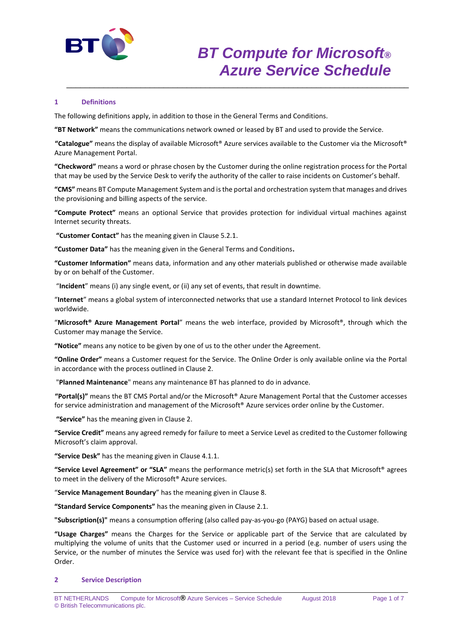

## **1 Definitions**

The following definitions apply, in addition to those in the General Terms and Conditions.

**"BT Network"** means the communications network owned or leased by BT and used to provide the Service.

**"Catalogue"** means the display of available Microsoft® Azure services available to the Customer via the Microsoft® Azure Management Portal.

\_\_\_\_\_\_\_\_\_\_\_\_\_\_\_\_\_\_\_\_\_\_\_\_\_\_\_\_\_\_\_\_\_\_\_\_\_\_\_\_\_\_\_\_\_\_\_\_\_\_\_\_\_\_\_\_\_\_\_\_\_\_\_\_\_\_\_\_\_\_\_\_\_\_

**"Checkword"** means a word or phrase chosen by the Customer during the online registration process for the Portal that may be used by the Service Desk to verify the authority of the caller to raise incidents on Customer's behalf.

**"CMS"** means BT Compute Management System and is the portal and orchestration system that manages and drives the provisioning and billing aspects of the service.

**"Compute Protect"** means an optional Service that provides protection for individual virtual machines against Internet security threats.

**"Customer Contact"** has the meaning given in Clause 5.2.1.

**"Customer Data"** has the meaning given in the General Terms and Conditions**.**

**"Customer Information"** means data, information and any other materials published or otherwise made available by or on behalf of the Customer.

"**Incident**" means (i) any single event, or (ii) any set of events, that result in downtime.

"**Internet**" means a global system of interconnected networks that use a standard Internet Protocol to link devices worldwide.

"**Microsoft® Azure Management Portal**" means the web interface, provided by Microsoft®, through which the Customer may manage the Service.

**"Notice"** means any notice to be given by one of us to the other under the Agreement.

**"Online Order"** means a Customer request for the Service. The Online Order is only available online via the Portal in accordance with the process outlined in Clause 2.

"**Planned Maintenance**" means any maintenance BT has planned to do in advance.

**"Portal(s)"** means the BT CMS Portal and/or the Microsoft® Azure Management Portal that the Customer accesses for service administration and management of the Microsoft® Azure services order online by the Customer.

**"Service"** has the meaning given in Clause 2.

**"Service Credit"** means any agreed remedy for failure to meet a Service Level as credited to the Customer following Microsoft's claim approval.

**"Service Desk"** has the meaning given in Clause 4.1.1.

**"Service Level Agreement" or "SLA"** means the performance metric(s) set forth in the SLA that Microsoft® agrees to meet in the delivery of the Microsoft® Azure services.

"**Service Management Boundary**" has the meaning given in Clause 8.

**"Standard Service Components"** has the meaning given in Clause 2.1.

**"Subscription(s)"** means a consumption offering (also called pay-as-you-go (PAYG) based on actual usage.

**"Usage Charges"** means the Charges for the Service or applicable part of the Service that are calculated by multiplying the volume of units that the Customer used or incurred in a period (e.g. number of users using the Service, or the number of minutes the Service was used for) with the relevant fee that is specified in the Online Order.

#### **2 Service Description**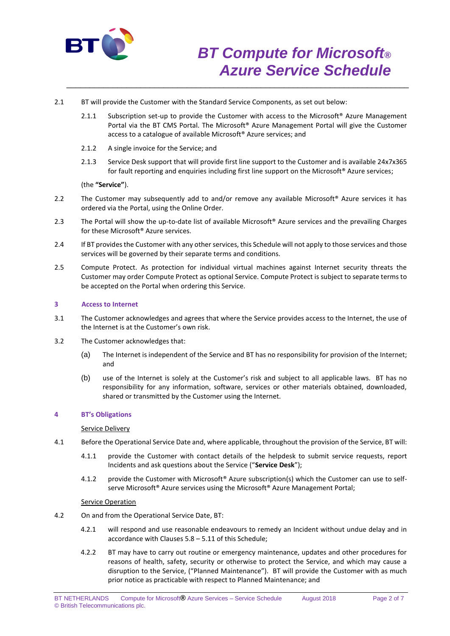

- 2.1 BT will provide the Customer with the Standard Service Components, as set out below:
	- 2.1.1 Subscription set-up to provide the Customer with access to the Microsoft<sup>®</sup> Azure Management Portal via the BT CMS Portal. The Microsoft® Azure Management Portal will give the Customer access to a catalogue of available Microsoft® Azure services; and

\_\_\_\_\_\_\_\_\_\_\_\_\_\_\_\_\_\_\_\_\_\_\_\_\_\_\_\_\_\_\_\_\_\_\_\_\_\_\_\_\_\_\_\_\_\_\_\_\_\_\_\_\_\_\_\_\_\_\_\_\_\_\_\_\_\_\_\_\_\_\_\_\_\_

- 2.1.2 A single invoice for the Service; and
- 2.1.3 Service Desk support that will provide first line support to the Customer and is available 24x7x365 for fault reporting and enquiries including first line support on the Microsoft® Azure services;

(the **"Service"**).

- 2.2 The Customer may subsequently add to and/or remove any available Microsoft<sup>®</sup> Azure services it has ordered via the Portal, using the Online Order.
- 2.3 The Portal will show the up-to-date list of available Microsoft® Azure services and the prevailing Charges for these Microsoft® Azure services.
- 2.4 If BT provides the Customer with any other services, this Schedule will not apply to those services and those services will be governed by their separate terms and conditions.
- 2.5 Compute Protect. As protection for individual virtual machines against Internet security threats the Customer may order Compute Protect as optional Service. Compute Protect is subject to separate terms to be accepted on the Portal when ordering this Service.

## **3 Access to Internet**

- 3.1 The Customer acknowledges and agrees that where the Service provides access to the Internet, the use of the Internet is at the Customer's own risk.
- 3.2 The Customer acknowledges that:
	- (a) The Internet is independent of the Service and BT has no responsibility for provision of the Internet; and
	- (b) use of the Internet is solely at the Customer's risk and subject to all applicable laws. BT has no responsibility for any information, software, services or other materials obtained, downloaded, shared or transmitted by the Customer using the Internet.

### **4 BT's Obligations**

#### Service Delivery

- 4.1 Before the Operational Service Date and, where applicable, throughout the provision of the Service, BT will:
	- 4.1.1 provide the Customer with contact details of the helpdesk to submit service requests, report Incidents and ask questions about the Service ("**Service Desk**");
	- 4.1.2 provide the Customer with Microsoft® Azure subscription(s) which the Customer can use to selfserve Microsoft<sup>®</sup> Azure services using the Microsoft<sup>®</sup> Azure Management Portal;

#### Service Operation

- 4.2 On and from the Operational Service Date, BT:
	- 4.2.1 will respond and use reasonable endeavours to remedy an Incident without undue delay and in accordance with Clauses 5.8 – 5.11 of this Schedule;
	- 4.2.2 BT may have to carry out routine or emergency maintenance, updates and other procedures for reasons of health, safety, security or otherwise to protect the Service, and which may cause a disruption to the Service, ("Planned Maintenance"). BT will provide the Customer with as much prior notice as practicable with respect to Planned Maintenance; and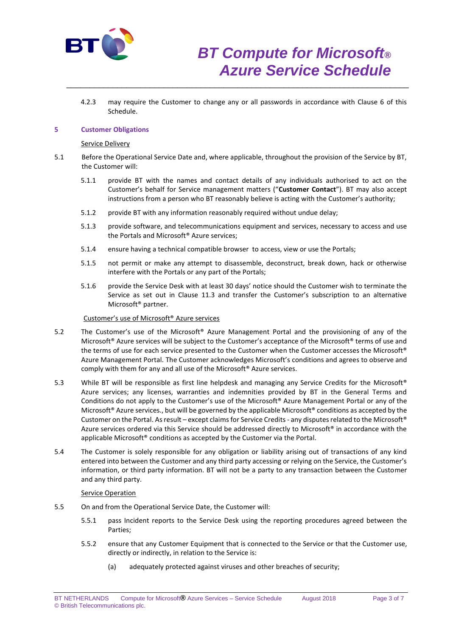

4.2.3 may require the Customer to change any or all passwords in accordance with Clause 6 of this Schedule.

\_\_\_\_\_\_\_\_\_\_\_\_\_\_\_\_\_\_\_\_\_\_\_\_\_\_\_\_\_\_\_\_\_\_\_\_\_\_\_\_\_\_\_\_\_\_\_\_\_\_\_\_\_\_\_\_\_\_\_\_\_\_\_\_\_\_\_\_\_\_\_\_\_\_

## **5 Customer Obligations**

#### Service Delivery

- 5.1 Before the Operational Service Date and, where applicable, throughout the provision of the Service by BT, the Customer will:
	- 5.1.1 provide BT with the names and contact details of any individuals authorised to act on the Customer's behalf for Service management matters ("**Customer Contact**"). BT may also accept instructions from a person who BT reasonably believe is acting with the Customer's authority;
	- 5.1.2 provide BT with any information reasonably required without undue delay;
	- 5.1.3 provide software, and telecommunications equipment and services, necessary to access and use the Portals and Microsoft® Azure services;
	- 5.1.4 ensure having a technical compatible browser to access, view or use the Portals;
	- 5.1.5 not permit or make any attempt to disassemble, deconstruct, break down, hack or otherwise interfere with the Portals or any part of the Portals;
	- 5.1.6 provide the Service Desk with at least 30 days' notice should the Customer wish to terminate the Service as set out in Clause 11.3 and transfer the Customer's subscription to an alternative Microsoft® partner.

## Customer's use of Microsoft® Azure services

- 5.2 The Customer's use of the Microsoft® Azure Management Portal and the provisioning of any of the Microsoft® Azure services will be subject to the Customer's acceptance of the Microsoft® terms of use and the terms of use for each service presented to the Customer when the Customer accesses the Microsoft® Azure Management Portal. The Customer acknowledges Microsoft's conditions and agrees to observe and comply with them for any and all use of the Microsoft® Azure services.
- 5.3 While BT will be responsible as first line helpdesk and managing any Service Credits for the Microsoft® Azure services; any licenses, warranties and indemnities provided by BT in the General Terms and Conditions do not apply to the Customer's use of the Microsoft® Azure Management Portal or any of the Microsoft<sup>®</sup> Azure services., but will be governed by the applicable Microsoft<sup>®</sup> conditions as accepted by the Customer on the Portal. As result – except claims for Service Credits - any disputes related to the Microsoft® Azure services ordered via this Service should be addressed directly to Microsoft® in accordance with the applicable Microsoft® conditions as accepted by the Customer via the Portal.
- 5.4 The Customer is solely responsible for any obligation or liability arising out of transactions of any kind entered into between the Customer and any third party accessing or relying on the Service, the Customer's information, or third party information. BT will not be a party to any transaction between the Customer and any third party.

#### Service Operation

- 5.5 On and from the Operational Service Date, the Customer will:
	- 5.5.1 pass Incident reports to the Service Desk using the reporting procedures agreed between the Parties;
	- 5.5.2 ensure that any Customer Equipment that is connected to the Service or that the Customer use, directly or indirectly, in relation to the Service is:
		- (a) adequately protected against viruses and other breaches of security;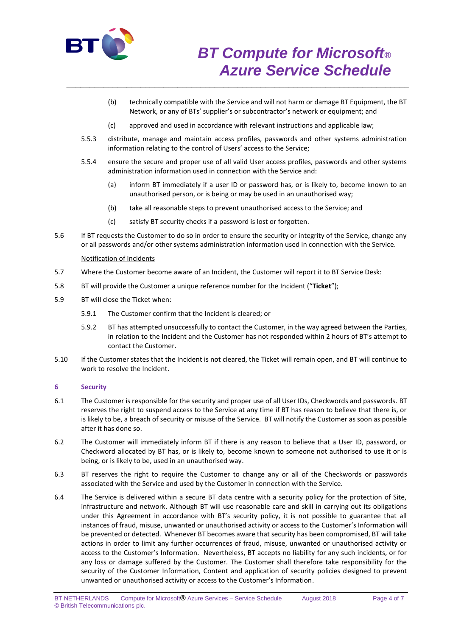

- (b) technically compatible with the Service and will not harm or damage BT Equipment, the BT Network, or any of BTs' supplier's or subcontractor's network or equipment; and
- (c) approved and used in accordance with relevant instructions and applicable law;

\_\_\_\_\_\_\_\_\_\_\_\_\_\_\_\_\_\_\_\_\_\_\_\_\_\_\_\_\_\_\_\_\_\_\_\_\_\_\_\_\_\_\_\_\_\_\_\_\_\_\_\_\_\_\_\_\_\_\_\_\_\_\_\_\_\_\_\_\_\_\_\_\_\_

- 5.5.3 distribute, manage and maintain access profiles, passwords and other systems administration information relating to the control of Users' access to the Service;
- 5.5.4 ensure the secure and proper use of all valid User access profiles, passwords and other systems administration information used in connection with the Service and:
	- (a) inform BT immediately if a user ID or password has, or is likely to, become known to an unauthorised person, or is being or may be used in an unauthorised way;
	- (b) take all reasonable steps to prevent unauthorised access to the Service; and
	- (c) satisfy BT security checks if a password is lost or forgotten.
- 5.6 If BT requests the Customer to do so in order to ensure the security or integrity of the Service, change any or all passwords and/or other systems administration information used in connection with the Service.

## Notification of Incidents

- 5.7 Where the Customer become aware of an Incident, the Customer will report it to BT Service Desk:
- 5.8 BT will provide the Customer a unique reference number for the Incident ("**Ticket**");
- 5.9 BT will close the Ticket when:
	- 5.9.1 The Customer confirm that the Incident is cleared; or
	- 5.9.2 BT has attempted unsuccessfully to contact the Customer, in the way agreed between the Parties, in relation to the Incident and the Customer has not responded within 2 hours of BT's attempt to contact the Customer.
- 5.10 If the Customer states that the Incident is not cleared, the Ticket will remain open, and BT will continue to work to resolve the Incident.

## **6 Security**

- 6.1 The Customer is responsible for the security and proper use of all User IDs, Checkwords and passwords. BT reserves the right to suspend access to the Service at any time if BT has reason to believe that there is, or is likely to be, a breach of security or misuse of the Service. BT will notify the Customer as soon as possible after it has done so.
- 6.2 The Customer will immediately inform BT if there is any reason to believe that a User ID, password, or Checkword allocated by BT has, or is likely to, become known to someone not authorised to use it or is being, or is likely to be, used in an unauthorised way.
- 6.3 BT reserves the right to require the Customer to change any or all of the Checkwords or passwords associated with the Service and used by the Customer in connection with the Service.
- 6.4 The Service is delivered within a secure BT data centre with a security policy for the protection of Site, infrastructure and network. Although BT will use reasonable care and skill in carrying out its obligations under this Agreement in accordance with BT's security policy, it is not possible to guarantee that all instances of fraud, misuse, unwanted or unauthorised activity or access to the Customer's Information will be prevented or detected. Whenever BT becomes aware that security has been compromised, BT will take actions in order to limit any further occurrences of fraud, misuse, unwanted or unauthorised activity or access to the Customer's Information. Nevertheless, BT accepts no liability for any such incidents, or for any loss or damage suffered by the Customer. The Customer shall therefore take responsibility for the security of the Customer Information, Content and application of security policies designed to prevent unwanted or unauthorised activity or access to the Customer's Information.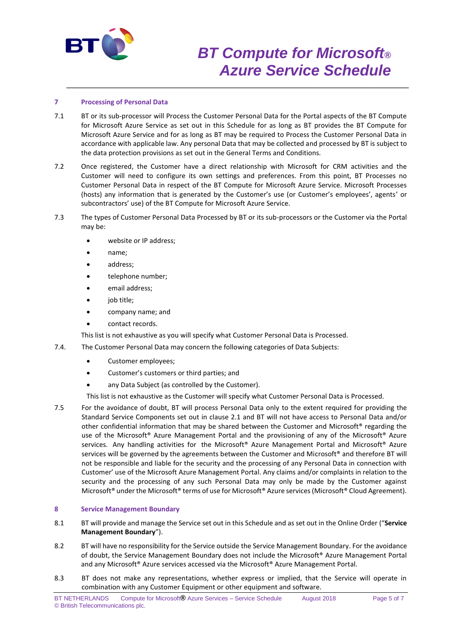

# *BT Compute for Microsoft® Azure Service Schedule*

# **7 Processing of Personal Data**

7.1 BT or its sub-processor will Process the Customer Personal Data for the Portal aspects of the BT Compute for Microsoft Azure Service as set out in this Schedule for as long as BT provides the BT Compute for Microsoft Azure Service and for as long as BT may be required to Process the Customer Personal Data in accordance with applicable law. Any personal Data that may be collected and processed by BT is subject to the data protection provisions as set out in the General Terms and Conditions.

\_\_\_\_\_\_\_\_\_\_\_\_\_\_\_\_\_\_\_\_\_\_\_\_\_\_\_\_\_\_\_\_\_\_\_\_\_\_\_\_\_\_\_\_\_\_\_\_\_\_\_\_\_\_\_\_\_\_\_\_\_\_\_\_\_\_\_\_\_\_\_\_\_\_

- 7.2 Once registered, the Customer have a direct relationship with Microsoft for CRM activities and the Customer will need to configure its own settings and preferences. From this point, BT Processes no Customer Personal Data in respect of the BT Compute for Microsoft Azure Service. Microsoft Processes (hosts) any information that is generated by the Customer's use (or Customer's employees', agents' or subcontractors' use) of the BT Compute for Microsoft Azure Service.
- 7.3 The types of Customer Personal Data Processed by BT or its sub-processors or the Customer via the Portal may be:
	- website or IP address;
	- name;
	- address;
	- telephone number;
	- email address;
	- job title;
	- company name; and
	- contact records.

This list is not exhaustive as you will specify what Customer Personal Data is Processed.

- 7.4. The Customer Personal Data may concern the following categories of Data Subjects:
	- Customer employees;
	- Customer's customers or third parties; and
	- any Data Subject (as controlled by the Customer).

This list is not exhaustive as the Customer will specify what Customer Personal Data is Processed.

7.5 For the avoidance of doubt, BT will process Personal Data only to the extent required for providing the Standard Service Components set out in clause 2.1 and BT will not have access to Personal Data and/or other confidential information that may be shared between the Customer and Microsoft® regarding the use of the Microsoft® Azure Management Portal and the provisioning of any of the Microsoft® Azure services. Any handling activities for the Microsoft® Azure Management Portal and Microsoft® Azure services will be governed by the agreements between the Customer and Microsoft® and therefore BT will not be responsible and liable for the security and the processing of any Personal Data in connection with Customer' use of the Microsoft Azure Management Portal. Any claims and/or complaints in relation to the security and the processing of any such Personal Data may only be made by the Customer against Microsoft® under the Microsoft® terms of use for Microsoft® Azure services (Microsoft® Cloud Agreement).

## **8 Service Management Boundary**

- 8.1 BT will provide and manage the Service set out in this Schedule and as set out in the Online Order ("**Service Management Boundary**").
- 8.2 BT will have no responsibility for the Service outside the Service Management Boundary. For the avoidance of doubt, the Service Management Boundary does not include the Microsoft® Azure Management Portal and any Microsoft® Azure services accessed via the Microsoft® Azure Management Portal.
- 8.3 BT does not make any representations, whether express or implied, that the Service will operate in combination with any Customer Equipment or other equipment and software.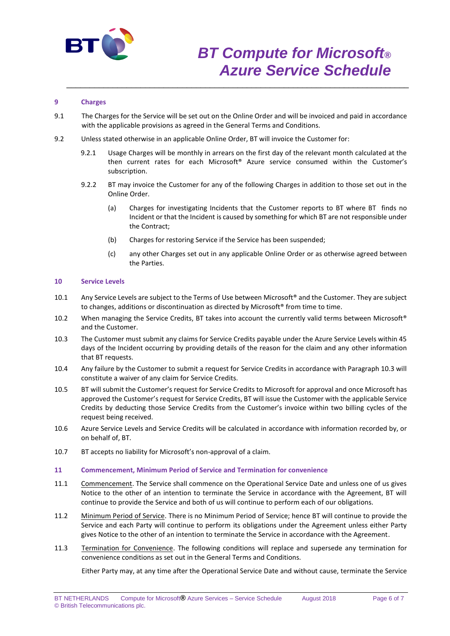

# *BT Compute for Microsoft® Azure Service Schedule*

## **9 Charges**

9.1 The Charges for the Service will be set out on the Online Order and will be invoiced and paid in accordance with the applicable provisions as agreed in the General Terms and Conditions.

\_\_\_\_\_\_\_\_\_\_\_\_\_\_\_\_\_\_\_\_\_\_\_\_\_\_\_\_\_\_\_\_\_\_\_\_\_\_\_\_\_\_\_\_\_\_\_\_\_\_\_\_\_\_\_\_\_\_\_\_\_\_\_\_\_\_\_\_\_\_\_\_\_\_

- 9.2 Unless stated otherwise in an applicable Online Order, BT will invoice the Customer for:
	- 9.2.1 Usage Charges will be monthly in arrears on the first day of the relevant month calculated at the then current rates for each Microsoft® Azure service consumed within the Customer's subscription.
	- 9.2.2 BT may invoice the Customer for any of the following Charges in addition to those set out in the Online Order.
		- (a) Charges for investigating Incidents that the Customer reports to BT where BT finds no Incident or that the Incident is caused by something for which BT are not responsible under the Contract;
		- (b) Charges for restoring Service if the Service has been suspended;
		- (c) any other Charges set out in any applicable Online Order or as otherwise agreed between the Parties.

### **10 Service Levels**

- 10.1 Any Service Levels are subject to the Terms of Use between Microsoft® and the Customer. They are subject to changes, additions or discontinuation as directed by Microsoft® from time to time.
- 10.2 When managing the Service Credits, BT takes into account the currently valid terms between Microsoft® and the Customer.
- 10.3 The Customer must submit any claims for Service Credits payable under the Azure Service Levels within 45 days of the Incident occurring by providing details of the reason for the claim and any other information that BT requests.
- 10.4 Any failure by the Customer to submit a request for Service Credits in accordance with Paragraph 10.3 will constitute a waiver of any claim for Service Credits.
- 10.5 BT will submit the Customer's request for Service Credits to Microsoft for approval and once Microsoft has approved the Customer's request for Service Credits, BT will issue the Customer with the applicable Service Credits by deducting those Service Credits from the Customer's invoice within two billing cycles of the request being received.
- 10.6 Azure Service Levels and Service Credits will be calculated in accordance with information recorded by, or on behalf of, BT.
- 10.7 BT accepts no liability for Microsoft's non-approval of a claim.

#### **11 Commencement, Minimum Period of Service and Termination for convenience**

- 11.1 Commencement. The Service shall commence on the Operational Service Date and unless one of us gives Notice to the other of an intention to terminate the Service in accordance with the Agreement, BT will continue to provide the Service and both of us will continue to perform each of our obligations.
- 11.2 Minimum Period of Service. There is no Minimum Period of Service; hence BT will continue to provide the Service and each Party will continue to perform its obligations under the Agreement unless either Party gives Notice to the other of an intention to terminate the Service in accordance with the Agreement.
- 11.3 Termination for Convenience. The following conditions will replace and supersede any termination for convenience conditions as set out in the General Terms and Conditions.

Either Party may, at any time after the Operational Service Date and without cause, terminate the Service